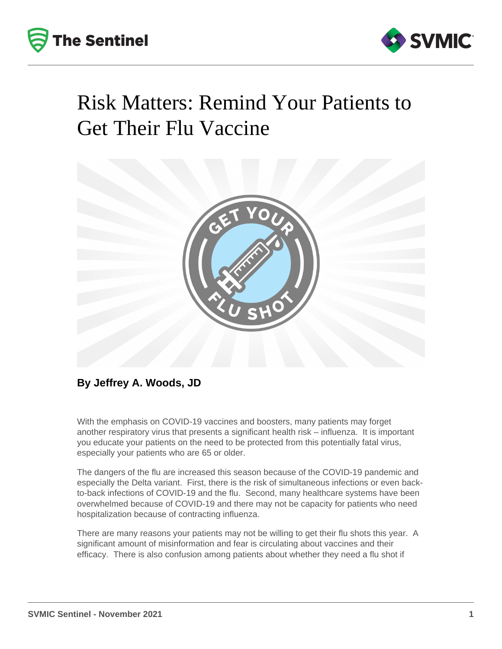



## Risk Matters: Remind Your Patients to Get Their Flu Vaccine



## **By Jeffrey A. Woods, JD**

With the emphasis on COVID-19 vaccines and boosters, many patients may forget another respiratory virus that presents a significant health risk – influenza. It is important you educate your patients on the need to be protected from this potentially fatal virus, especially your patients who are 65 or older.

The dangers of the flu are increased this season because of the COVID-19 pandemic and especially the Delta variant. First, there is the risk of simultaneous infections or even backto-back infections of COVID-19 and the flu. Second, many healthcare systems have been overwhelmed because of COVID-19 and there may not be capacity for patients who need hospitalization because of contracting influenza.

There are many reasons your patients may not be willing to get their flu shots this year. A significant amount of misinformation and fear is circulating about vaccines and their efficacy. There is also confusion among patients about whether they need a flu shot if